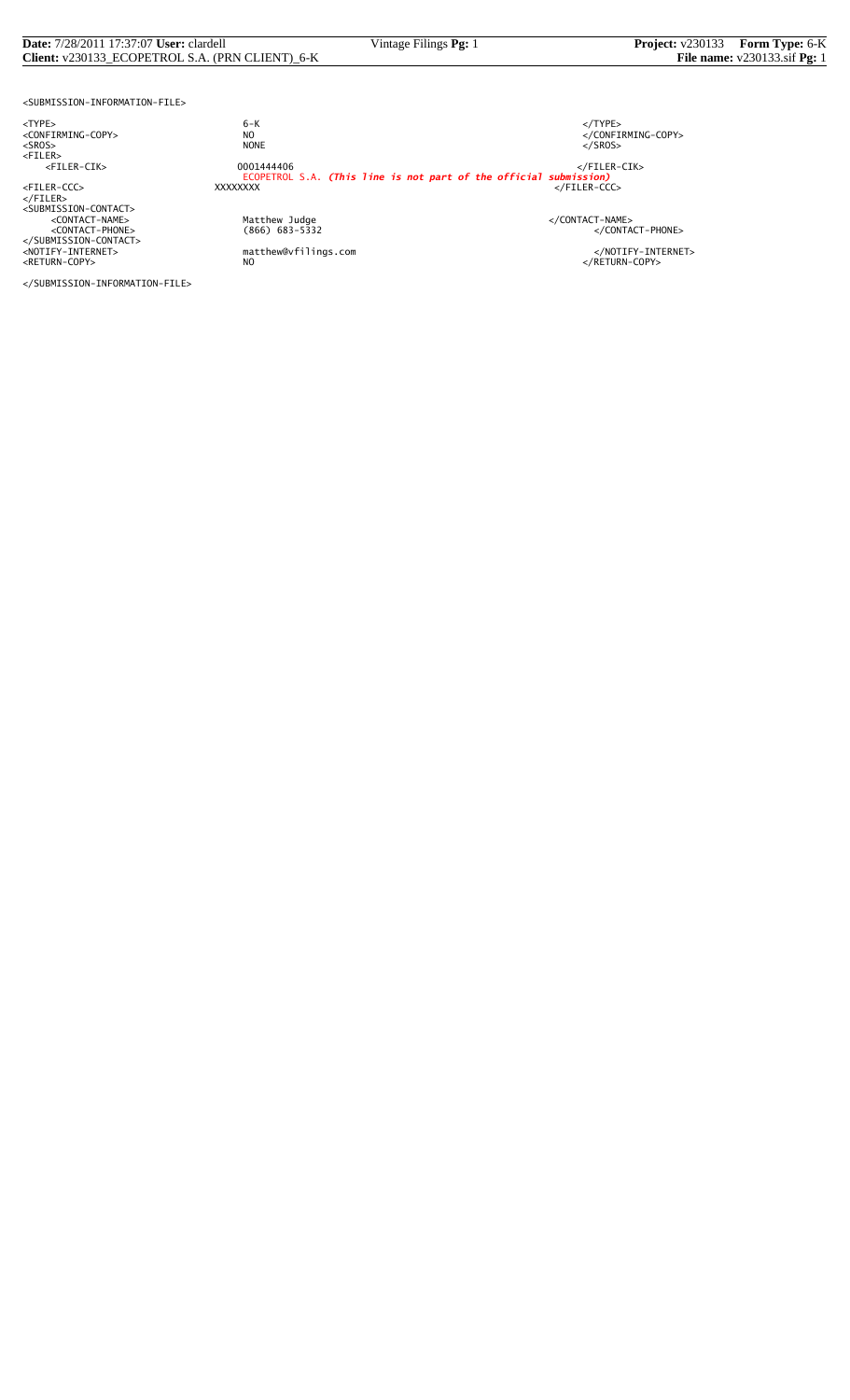## **Date:** 7/28/2011 17:37:07 **User:** clardell Vintage Filings **Pg:** 1 **Project:** v230133 **Form Type:** 6-K **Client:** v230133\_ECOPETROL S.A. (PRN CLIENT)\_6-K

<SUBMISSION-INFORMATION-FILE>

<TYPE> 6-K </TYPE>

</FILER><br><SUBMISSION-CONTACT><br><CONTACT-NAME> </CONTACT-NAME></CONTACT-NAME>

</SUBMISSION-INFORMATION-FILE>

 $\begin{array}{lll} 6-K & \xleftarrow{\quad} & \xleftarrow{\quad} & \xleftarrow{\quad} & \xleftarrow{\quad} & \xleftarrow{\quad} & \xleftarrow{\quad} & \xleftarrow{\quad} & \xleftarrow{\quad} & \xleftarrow{\quad} & \xleftarrow{\quad} & \xleftarrow{\quad} & \xleftarrow{\quad} & \xleftarrow{\quad} & \xleftarrow{\quad} & \xleftarrow{\quad} & \xleftarrow{\quad} & \xleftarrow{\quad} & \xleftarrow{\quad} & \xleftarrow{\quad} & \xleftarrow{\quad} & \xleftarrow{\quad} & \xleftarrow{\quad} & \xleftarrow{\quad} & \xleftarrow{\quad} & \xleftarrow{\quad} & \xleftarrow{\quad} & \$ <SROS> NONE </SROS> <FILER> <FILER-CIK> 0001444406 </FILER-CIK> ECOPETROL S.A. *(This line is not part of the official submission)* <FILER-CCC> XXXXXXXX </FILER-CCC>

</SUBMISSION-CONTACT><br><NOTIFY-INTERNET> matthew@vfilings.com </NOTIFY-INTERNET><br><RETURN-COPY> NO

<CONTACT-PHONE> (866) 683-5332 </CONTACT-PHONE>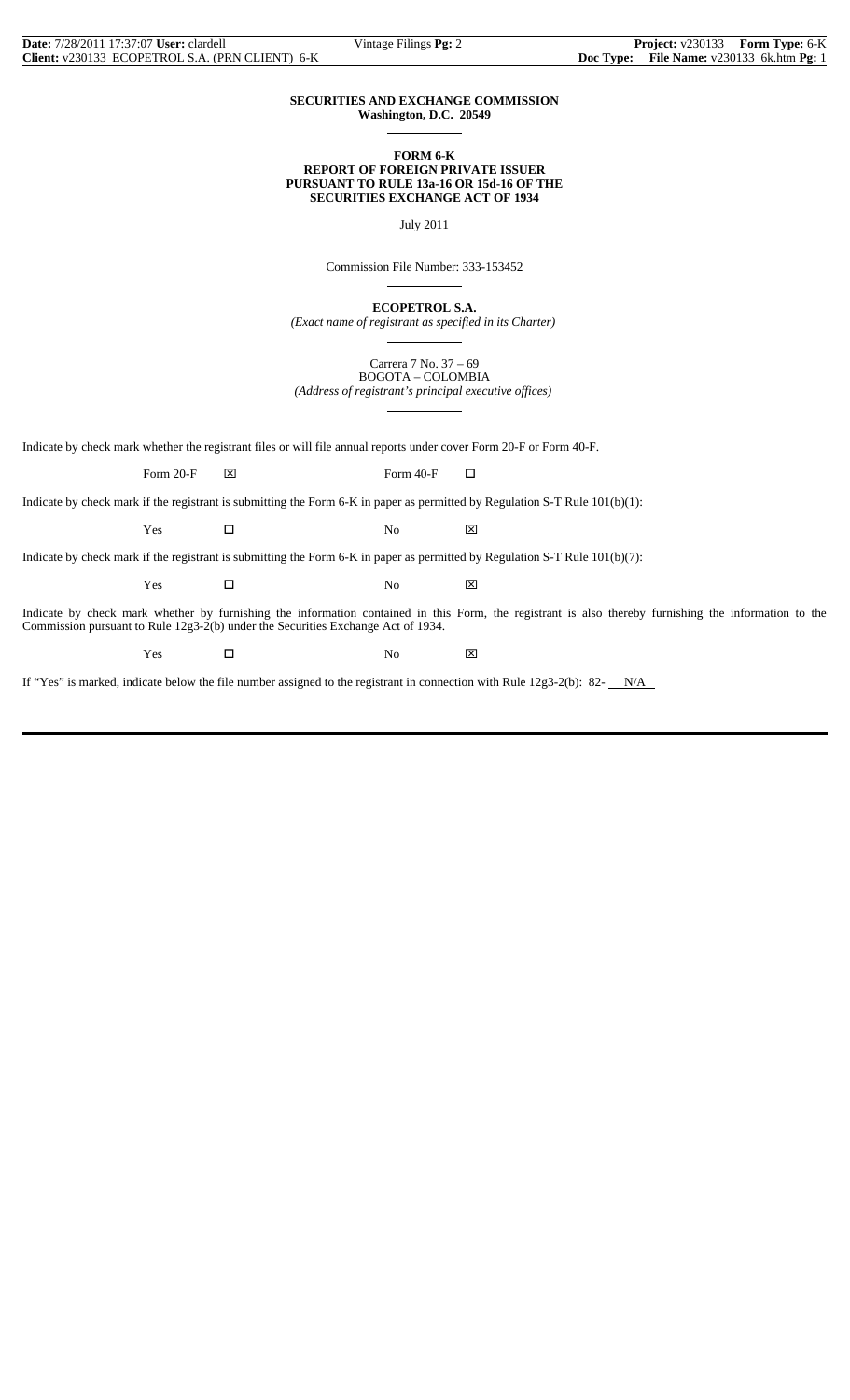#### **SECURITIES AND EXCHANGE COMMISSION Washington, D.C. 20549**

 $\overline{a}$ 

 $\overline{a}$ 

 $\overline{a}$ 

 $\overline{a}$ 

#### **FORM 6-K REPORT OF FOREIGN PRIVATE ISSUER PURSUANT TO RULE 13a-16 OR 15d-16 OF THE SECURITIES EXCHANGE ACT OF 1934**

July 2011

Commission File Number: 333-153452

**ECOPETROL S.A.**

*(Exact name of registrant as specified in its Charter)*  $\overline{a}$ 

> Carrera 7 No. 37 – 69 BOGOTA – COLOMBIA

*(Address of registrant's principal executive offices)*

Indicate by check mark whether the registrant files or will file annual reports under cover Form 20-F or Form 40-F.

Form 20-F  $\boxtimes$  Form 40-F  $\Box$ 

Indicate by check mark if the registrant is submitting the Form 6-K in paper as permitted by Regulation S-T Rule 101(b)(1):

 $Yes$   $\Box$  No  $\boxtimes$ 

Indicate by check mark if the registrant is submitting the Form 6-K in paper as permitted by Regulation S-T Rule 101(b)(7):

 $Yes$   $\Box$  No  $\boxtimes$ 

Indicate by check mark whether by furnishing the information contained in this Form, the registrant is also thereby furnishing the information to the Commission pursuant to Rule 12g3-2(b) under the Securities Exchange Act of 1934.

Yes □ No ⊠

If "Yes" is marked, indicate below the file number assigned to the registrant in connection with Rule  $12g3-2(b)$ : 82- $N/A$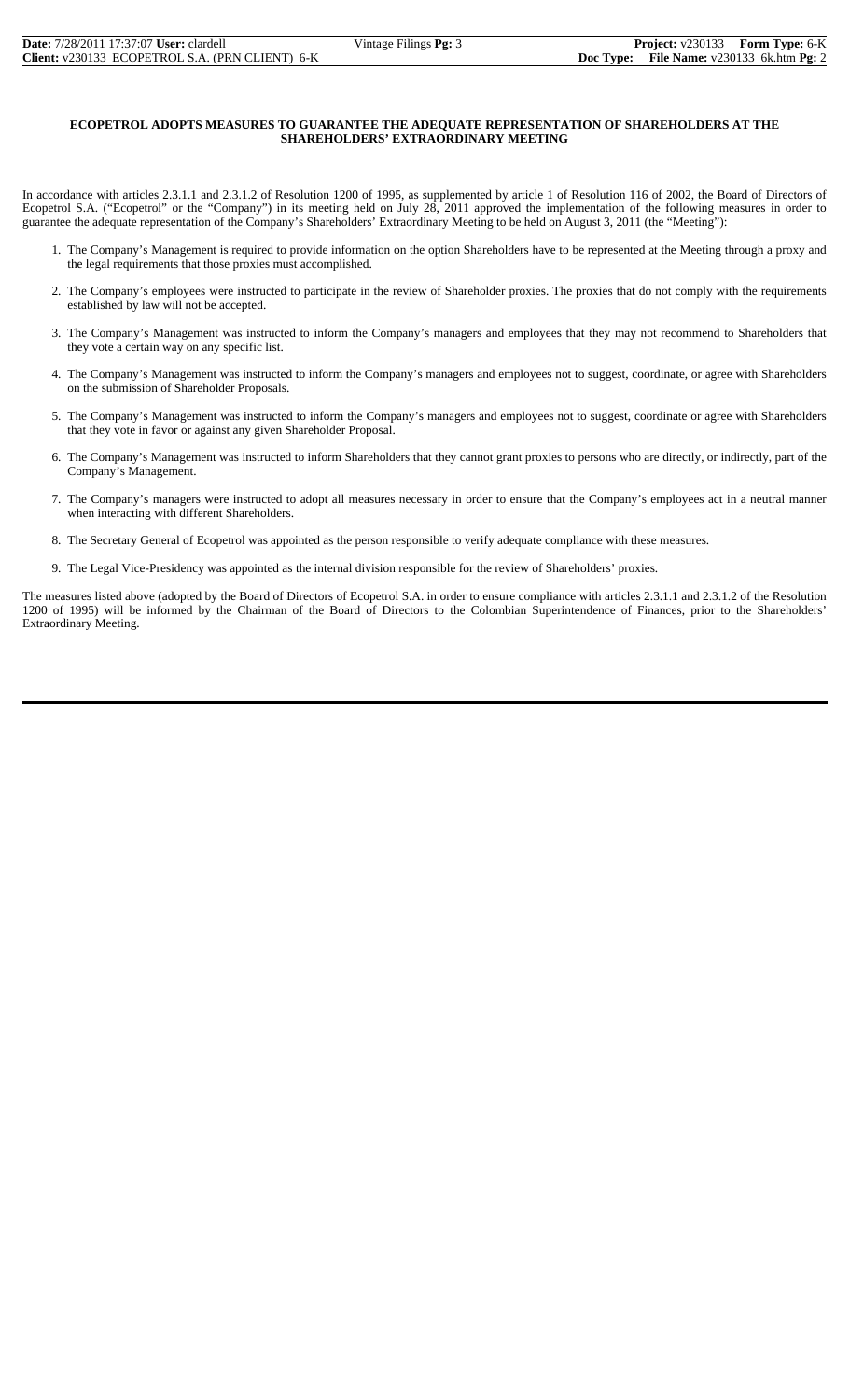#### **ECOPETROL ADOPTS MEASURES TO GUARANTEE THE ADEQUATE REPRESENTATION OF SHAREHOLDERS AT THE SHAREHOLDERS' EXTRAORDINARY MEETING**

In accordance with articles 2.3.1.1 and 2.3.1.2 of Resolution 1200 of 1995, as supplemented by article 1 of Resolution 116 of 2002, the Board of Directors of Ecopetrol S.A. ("Ecopetrol" or the "Company") in its meeting held on July 28, 2011 approved the implementation of the following measures in order to guarantee the adequate representation of the Company's Shareholders' Extraordinary Meeting to be held on August 3, 2011 (the "Meeting"):

- 1. The Company's Management is required to provide information on the option Shareholders have to be represented at the Meeting through a proxy and the legal requirements that those proxies must accomplished.
- 2. The Company's employees were instructed to participate in the review of Shareholder proxies. The proxies that do not comply with the requirements established by law will not be accepted.
- 3. The Company's Management was instructed to inform the Company's managers and employees that they may not recommend to Shareholders that they vote a certain way on any specific list.
- 4. The Company's Management was instructed to inform the Company's managers and employees not to suggest, coordinate, or agree with Shareholders on the submission of Shareholder Proposals.
- 5. The Company's Management was instructed to inform the Company's managers and employees not to suggest, coordinate or agree with Shareholders that they vote in favor or against any given Shareholder Proposal.
- 6. The Company's Management was instructed to inform Shareholders that they cannot grant proxies to persons who are directly, or indirectly, part of the Company's Management.
- 7. The Company's managers were instructed to adopt all measures necessary in order to ensure that the Company's employees act in a neutral manner when interacting with different Shareholders.
- 8. The Secretary General of Ecopetrol was appointed as the person responsible to verify adequate compliance with these measures.
- 9. The Legal Vice-Presidency was appointed as the internal division responsible for the review of Shareholders' proxies.

The measures listed above (adopted by the Board of Directors of Ecopetrol S.A. in order to ensure compliance with articles 2.3.1.1 and 2.3.1.2 of the Resolution 1200 of 1995) will be informed by the Chairman of the Board of Directors to the Colombian Superintendence of Finances, prior to the Shareholders' Extraordinary Meeting.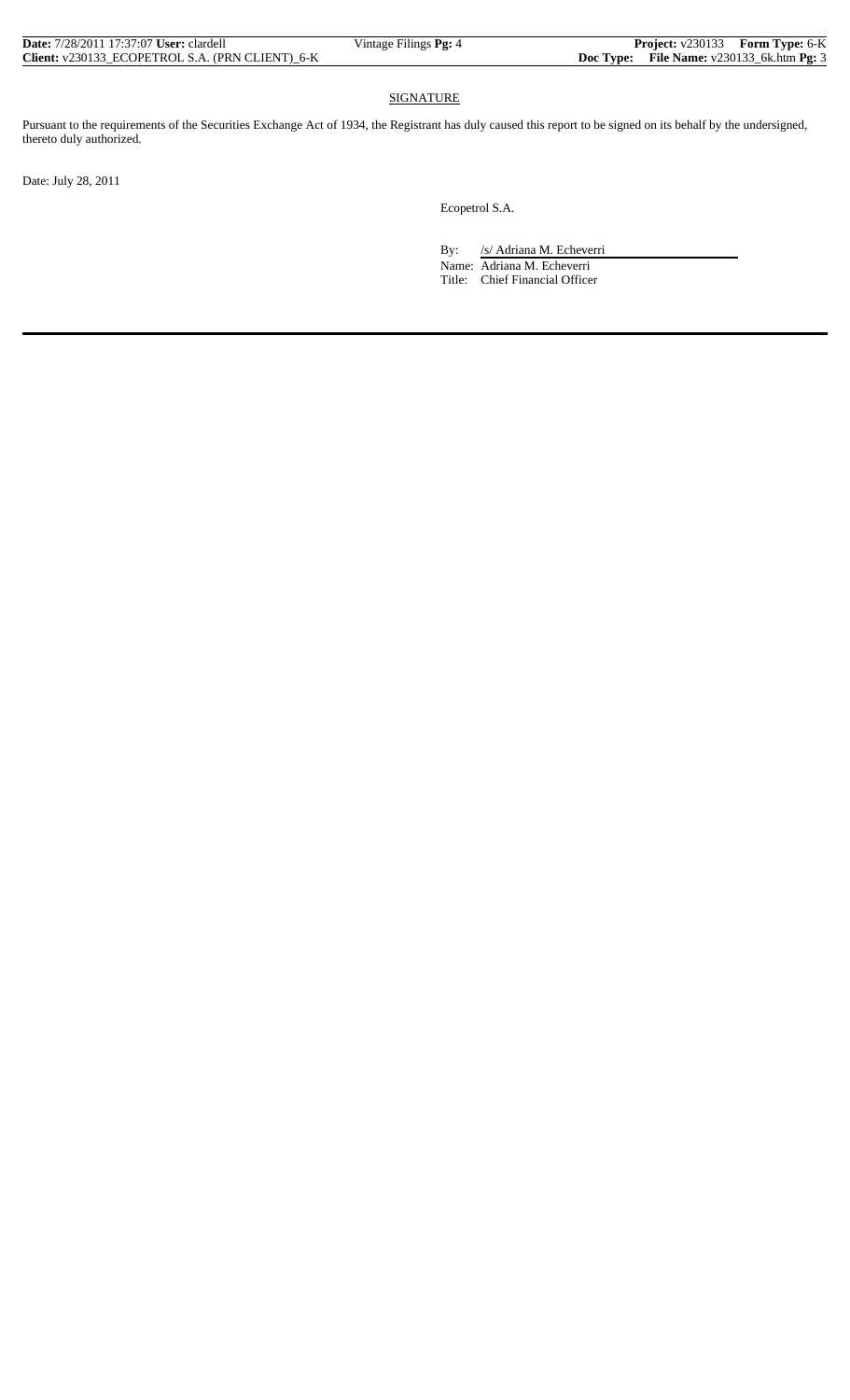### SIGNATURE

Pursuant to the requirements of the Securities Exchange Act of 1934, the Registrant has duly caused this report to be signed on its behalf by the undersigned, thereto duly authorized.

Date: July 28, 2011

Ecopetrol S.A.

By: /s/ Adriana M. Echeverri

 Name: Adriana M. Echeverri Title: Chief Financial Officer